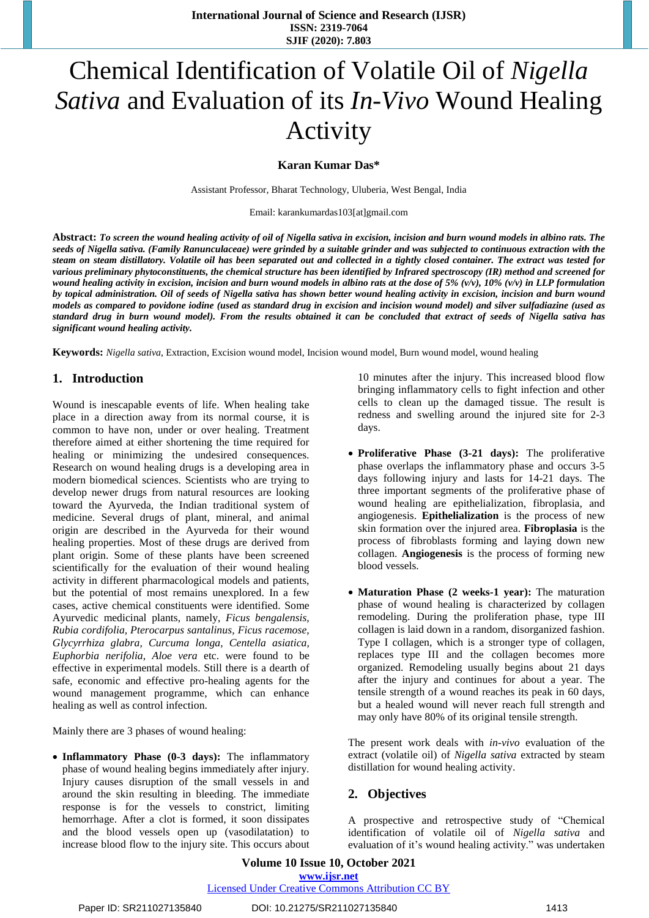# Chemical Identification of Volatile Oil of *Nigella Sativa* and Evaluation of its *In-Vivo* Wound Healing Activity

# **Karan Kumar Das\***

Assistant Professor, Bharat Technology, Uluberia, West Bengal, India

Email: karankumardas103[at]gmail.com

Abstract: To screen the wound healing activity of oil of Nigella sativa in excision, incision and burn wound models in albino rats. The seeds of Nigella sativa. (Family Ranunculaceae) were grinded by a suitable grinder and was subjected to continuous extraction with the steam on steam distillatory. Volatile oil has been separated out and collected in a tightly closed container. The extract was tested for various preliminary phytoconstituents, the chemical structure has been identified by Infrared spectroscopy (IR) method and screened for wound healing activity in excision, incision and burn wound models in albino rats at the dose of 5%  $(v/v)$ , 10%  $(v/v)$  in LLP formulation by topical administration. Oil of seeds of Nigella sativa has shown better wound healing activity in excision, incision and burn wound models as compared to povidone iodine (used as standard drug in excision and incision wound model) and silver sulfadiazine (used as standard drug in burn wound model). From the results obtained it can be concluded that extract of seeds of Nigella sativa has *significant wound healing activity.*

**Keywords:** *Nigella sativa*, Extraction, Excision wound model, Incision wound model, Burn wound model, wound healing

# **1. Introduction**

Wound is inescapable events of life. When healing take place in a direction away from its normal course, it is common to have non, under or over healing. Treatment therefore aimed at either shortening the time required for healing or minimizing the undesired consequences. Research on wound healing drugs is a developing area in modern biomedical sciences. Scientists who are trying to develop newer drugs from natural resources are looking toward the Ayurveda, the Indian traditional system of medicine. Several drugs of plant, mineral, and animal origin are described in the Ayurveda for their wound healing properties. Most of these drugs are derived from plant origin. Some of these plants have been screened scientifically for the evaluation of their wound healing activity in different pharmacological models and patients, but the potential of most remains unexplored. In a few cases, active chemical constituents were identified. Some Ayurvedic medicinal plants, namely, *Ficus bengalensis, Rubia cordifolia, Pterocarpus santalinus, Ficus racemose, Glycyrrhiza glabra, Curcuma longa, Centella asiatica, Euphorbia nerifolia*, *Aloe vera* etc. were found to be effective in experimental models. Still there is a dearth of safe, economic and effective pro-healing agents for the wound management programme, which can enhance healing as well as control infection.

Mainly there are 3 phases of wound healing:

 **Inflammatory Phase (0-3 days):** The inflammatory phase of wound healing begins immediately after injury. Injury causes disruption of the small vessels in and around the skin resulting in bleeding. The immediate response is for the vessels to constrict, limiting hemorrhage. After a clot is formed, it soon dissipates and the blood vessels open up (vasodilatation) to increase blood flow to the injury site. This occurs about

10 minutes after the injury. This increased blood flow bringing inflammatory cells to fight infection and other cells to clean up the damaged tissue. The result is redness and swelling around the injured site for 2-3 days.

- **Proliferative Phase (3-21 days):** The proliferative phase overlaps the inflammatory phase and occurs 3-5 days following injury and lasts for 14-21 days. The three important segments of the proliferative phase of wound healing are epithelialization, fibroplasia, and angiogenesis. **Epithelialization** is the process of new skin formation over the injured area. **Fibroplasia** is the process of fibroblasts forming and laying down new collagen. **Angiogenesis** is the process of forming new blood vessels.
- **Maturation Phase (2 weeks-1 year):** The maturation phase of wound healing is characterized by collagen remodeling. During the proliferation phase, type III collagen is laid down in a random, disorganized fashion. Type I collagen, which is a stronger type of collagen, replaces type III and the collagen becomes more organized. Remodeling usually begins about 21 days after the injury and continues for about a year. The tensile strength of a wound reaches its peak in 60 days, but a healed wound will never reach full strength and may only have 80% of its original tensile strength.

The present work deals with *in-vivo* evaluation of the extract (volatile oil) of *Nigella sativa* extracted by steam distillation for wound healing activity.

# **2. Objectives**

A prospective and retrospective study of "Chemical identification of volatile oil of *Nigella sativa* and evaluation of it's wound healing activity." was undertaken

**Volume 10 Issue 10, October 2021 www.ijsr.net**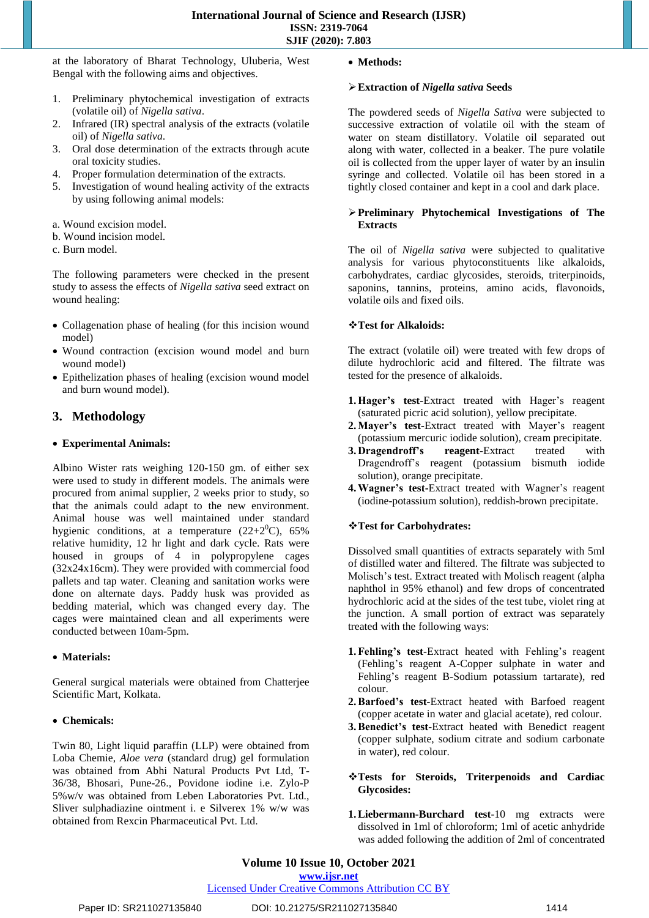at the laboratory of Bharat Technology, Uluberia, West Bengal with the following aims and objectives.

- 1. Preliminary phytochemical investigation of extracts (volatile oil) of *Nigella sativa*.
- 2. Infrared (IR) spectral analysis of the extracts (volatile oil) of *Nigella sativa*.
- 3. Oral dose determination of the extracts through acute oral toxicity studies.
- 4. Proper formulation determination of the extracts.
- 5. Investigation of wound healing activity of the extracts by using following animal models:
- a. Wound excision model.
- b. Wound incision model.
- c. Burn model.

The following parameters were checked in the present study to assess the effects of *Nigella sativa* seed extract on wound healing:

- Collagenation phase of healing (for this incision wound model)
- Wound contraction (excision wound model and burn wound model)
- Epithelization phases of healing (excision wound model and burn wound model).

# **3. Methodology**

# **Experimental Animals:**

Albino Wister rats weighing 120-150 gm. of either sex were used to study in different models. The animals were procured from animal supplier, 2 weeks prior to study, so that the animals could adapt to the new environment. Animal house was well maintained under standard hygienic conditions, at a temperature  $(22+2<sup>0</sup>C)$ , 65% relative humidity, 12 hr light and dark cycle. Rats were housed in groups of 4 in polypropylene cages (32x24x16cm). They were provided with commercial food pallets and tap water. Cleaning and sanitation works were done on alternate days. Paddy husk was provided as bedding material, which was changed every day. The cages were maintained clean and all experiments were conducted between 10am-5pm.

# **Materials:**

General surgical materials were obtained from Chatterjee Scientific Mart, Kolkata.

## **Chemicals:**

Twin 80, Light liquid paraffin (LLP) were obtained from Loba Chemie, *Aloe vera* (standard drug) gel formulation was obtained from Abhi Natural Products Pvt Ltd, T-36/38, Bhosari, Pune-26., Povidone iodine i.e. Zylo-P 5%w/v was obtained from Leben Laboratories Pvt. Ltd., Sliver sulphadiazine ointment i. e Silverex 1% w/w was obtained from Rexcin Pharmaceutical Pvt. Ltd.

## **Methods:**

#### **Extraction of** *Nigella sativa* **Seeds**

The powdered seeds of *Nigella Sativa* were subjected to successive extraction of volatile oil with the steam of water on steam distillatory. Volatile oil separated out along with water, collected in a beaker. The pure volatile oil is collected from the upper layer of water by an insulin syringe and collected. Volatile oil has been stored in a tightly closed container and kept in a cool and dark place.

# **Preliminary Phytochemical Investigations of The Extracts**

The oil of *Nigella sativa* were subjected to qualitative analysis for various phytoconstituents like alkaloids, carbohydrates, cardiac glycosides, steroids, triterpinoids, saponins, tannins, proteins, amino acids, flavonoids, volatile oils and fixed oils.

## **Test for Alkaloids:**

The extract (volatile oil) were treated with few drops of dilute hydrochloric acid and filtered. The filtrate was tested for the presence of alkaloids.

- **1.Hager's test-**Extract treated with Hager's reagent (saturated picric acid solution), yellow precipitate.
- **2.Mayer's test-**Extract treated with Mayer's reagent (potassium mercuric iodide solution), cream precipitate.
- **3. Dragendroff's reagent-**Extract treated with Dragendroff's reagent (potassium bismuth iodide solution), orange precipitate.
- **4.Wagner's test-**Extract treated with Wagner's reagent (iodine-potassium solution), reddish-brown precipitate.

# **Test for Carbohydrates:**

Dissolved small quantities of extracts separately with 5ml of distilled water and filtered. The filtrate was subjected to Molisch's test. Extract treated with Molisch reagent (alpha naphthol in 95% ethanol) and few drops of concentrated hydrochloric acid at the sides of the test tube, violet ring at the junction. A small portion of extract was separately treated with the following ways:

- **1.Fehling's test-**Extract heated with Fehling's reagent (Fehling's reagent A-Copper sulphate in water and Fehling's reagent B-Sodium potassium tartarate), red colour.
- **2.Barfoed's test-**Extract heated with Barfoed reagent (copper acetate in water and glacial acetate), red colour.
- **3.Benedict's test-**Extract heated with Benedict reagent (copper sulphate, sodium citrate and sodium carbonate in water), red colour.

## **Tests for Steroids, Triterpenoids and Cardiac Glycosides:**

**1.Liebermann-Burchard test**-10 mg extracts were dissolved in 1ml of chloroform; 1ml of acetic anhydride was added following the addition of 2ml of concentrated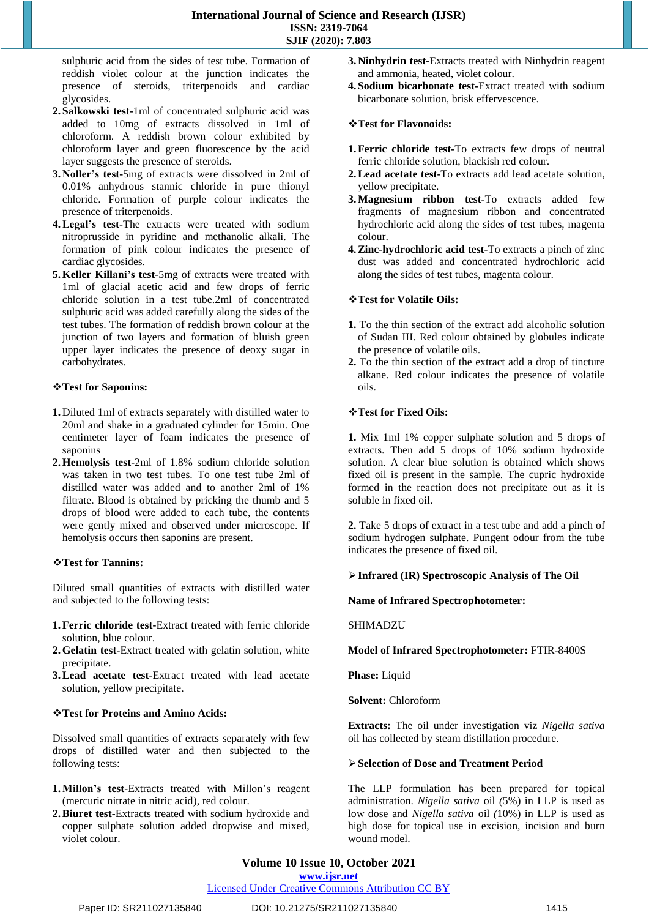sulphuric acid from the sides of test tube. Formation of reddish violet colour at the junction indicates the presence of steroids, triterpenoids and cardiac glycosides.

- **2. Salkowski test-**1ml of concentrated sulphuric acid was added to 10mg of extracts dissolved in 1ml of chloroform. A reddish brown colour exhibited by chloroform layer and green fluorescence by the acid layer suggests the presence of steroids.
- **3. Noller's test-**5mg of extracts were dissolved in 2ml of 0.01% anhydrous stannic chloride in pure thionyl chloride. Formation of purple colour indicates the presence of triterpenoids.
- **4.Legal's test-**The extracts were treated with sodium nitroprusside in pyridine and methanolic alkali. The formation of pink colour indicates the presence of cardiac glycosides.
- **5.Keller Killani's test-**5mg of extracts were treated with 1ml of glacial acetic acid and few drops of ferric chloride solution in a test tube.2ml of concentrated sulphuric acid was added carefully along the sides of the test tubes. The formation of reddish brown colour at the junction of two layers and formation of bluish green upper layer indicates the presence of deoxy sugar in carbohydrates.

# **Test for Saponins:**

- **1.** Diluted 1ml of extracts separately with distilled water to 20ml and shake in a graduated cylinder for 15min. One centimeter layer of foam indicates the presence of saponins
- **2.Hemolysis test-**2ml of 1.8% sodium chloride solution was taken in two test tubes. To one test tube 2ml of distilled water was added and to another 2ml of 1% filtrate. Blood is obtained by pricking the thumb and 5 drops of blood were added to each tube, the contents were gently mixed and observed under microscope. If hemolysis occurs then saponins are present.

# **Test for Tannins:**

Diluted small quantities of extracts with distilled water and subjected to the following tests:

- **1.Ferric chloride test-**Extract treated with ferric chloride solution, blue colour.
- **2.Gelatin test-**Extract treated with gelatin solution, white precipitate.
- **3.Lead acetate test-**Extract treated with lead acetate solution, yellow precipitate.

# **Test for Proteins and Amino Acids:**

Dissolved small quantities of extracts separately with few drops of distilled water and then subjected to the following tests:

- **1.Millon's test-**Extracts treated with Millon's reagent (mercuric nitrate in nitric acid), red colour.
- **2.Biuret test-**Extracts treated with sodium hydroxide and copper sulphate solution added dropwise and mixed, violet colour.
- **3. Ninhydrin test-**Extracts treated with Ninhydrin reagent and ammonia, heated, violet colour.
- **4. Sodium bicarbonate test-**Extract treated with sodium bicarbonate solution, brisk effervescence.

## **Test for Flavonoids:**

- **1.Ferric chloride test-**To extracts few drops of neutral ferric chloride solution, blackish red colour.
- **2.Lead acetate test-**To extracts add lead acetate solution, yellow precipitate.
- **3.Magnesium ribbon test-**To extracts added few fragments of magnesium ribbon and concentrated hydrochloric acid along the sides of test tubes, magenta colour.
- **4.Zinc-hydrochloric acid test-**To extracts a pinch of zinc dust was added and concentrated hydrochloric acid along the sides of test tubes, magenta colour.

## **Test for Volatile Oils:**

- **1.** To the thin section of the extract add alcoholic solution of Sudan III. Red colour obtained by globules indicate the presence of volatile oils.
- **2.** To the thin section of the extract add a drop of tincture alkane. Red colour indicates the presence of volatile oils.

#### **Test for Fixed Oils:**

**1.** Mix 1ml 1% copper sulphate solution and 5 drops of extracts. Then add 5 drops of 10% sodium hydroxide solution. A clear blue solution is obtained which shows fixed oil is present in the sample. The cupric hydroxide formed in the reaction does not precipitate out as it is soluble in fixed oil.

**2.** Take 5 drops of extract in a test tube and add a pinch of sodium hydrogen sulphate. Pungent odour from the tube indicates the presence of fixed oil.

#### **Infrared (IR) Spectroscopic Analysis of The Oil**

**Name of Infrared Spectrophotometer:**

#### SHIMADZU

# **Model of Infrared Spectrophotometer:** FTIR-8400S

**Phase:** Liquid

**Solvent:** Chloroform

**Extracts:** The oil under investigation viz *Nigella sativa* oil has collected by steam distillation procedure.

#### **Selection of Dose and Treatment Period**

The LLP formulation has been prepared for topical administration. *Nigella sativa* oil *(*5%) in LLP is used as low dose and *Nigella sativa* oil *(*10%) in LLP is used as high dose for topical use in excision, incision and burn wound model.

# **Volume 10 Issue 10, October 2021**

# **www.ijsr.net**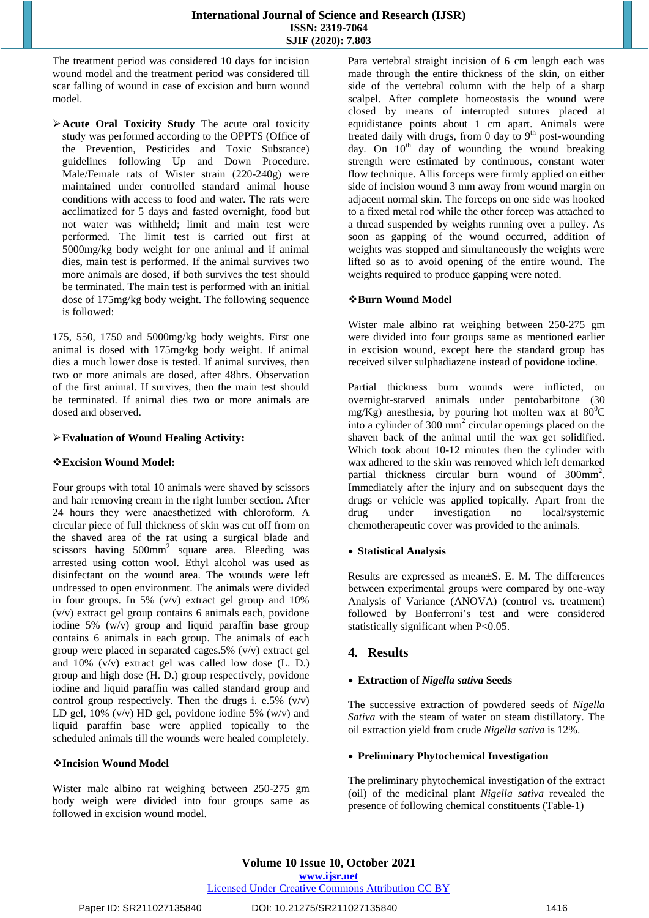The treatment period was considered 10 days for incision wound model and the treatment period was considered till scar falling of wound in case of excision and burn wound model.

**Acute Oral Toxicity Study** The acute oral toxicity study was performed according to the OPPTS (Office of the Prevention, Pesticides and Toxic Substance) guidelines following Up and Down Procedure. Male/Female rats of Wister strain (220-240g) were maintained under controlled standard animal house conditions with access to food and water. The rats were acclimatized for 5 days and fasted overnight, food but not water was withheld; limit and main test were performed. The limit test is carried out first at 5000mg/kg body weight for one animal and if animal dies, main test is performed. If the animal survives two more animals are dosed, if both survives the test should be terminated. The main test is performed with an initial dose of 175mg/kg body weight. The following sequence is followed:

175, 550, 1750 and 5000mg/kg body weights. First one animal is dosed with 175mg/kg body weight. If animal dies a much lower dose is tested. If animal survives, then two or more animals are dosed, after 48hrs. Observation of the first animal. If survives, then the main test should be terminated. If animal dies two or more animals are dosed and observed.

# **Evaluation of Wound Healing Activity:**

# **Excision Wound Model:**

Four groups with total 10 animals were shaved by scissors and hair removing cream in the right lumber section. After 24 hours they were anaesthetized with chloroform. A circular piece of full thickness of skin was cut off from on the shaved area of the rat using a surgical blade and scissors having 500mm<sup>2</sup> square area. Bleeding was arrested using cotton wool. Ethyl alcohol was used as disinfectant on the wound area. The wounds were left undressed to open environment. The animals were divided in four groups. In 5% (v/v) extract gel group and 10% (v/v) extract gel group contains 6 animals each, povidone iodine 5% (w/v) group and liquid paraffin base group contains 6 animals in each group. The animals of each group were placed in separated cages.5% (v/v) extract gel and 10% (v/v) extract gel was called low dose (L. D.) group and high dose (H. D.) group respectively, povidone iodine and liquid paraffin was called standard group and control group respectively. Then the drugs i. e.5%  $(v/v)$ LD gel,  $10\%$  (v/v) HD gel, povidone iodine 5% (w/v) and liquid paraffin base were applied topically to the scheduled animals till the wounds were healed completely.

# **Incision Wound Model**

Wister male albino rat weighing between 250-275 gm body weigh were divided into four groups same as followed in excision wound model.

Para vertebral straight incision of 6 cm length each was made through the entire thickness of the skin, on either side of the vertebral column with the help of a sharp scalpel. After complete homeostasis the wound were closed by means of interrupted sutures placed at equidistance points about 1 cm apart. Animals were treated daily with drugs, from 0 day to  $9<sup>th</sup>$  post-wounding day. On  $10^{th}$  day of wounding the wound breaking strength were estimated by continuous, constant water flow technique. Allis forceps were firmly applied on either side of incision wound 3 mm away from wound margin on adjacent normal skin. The forceps on one side was hooked to a fixed metal rod while the other forcep was attached to a thread suspended by weights running over a pulley. As soon as gapping of the wound occurred, addition of weights was stopped and simultaneously the weights were lifted so as to avoid opening of the entire wound. The weights required to produce gapping were noted.

## **Burn Wound Model**

Wister male albino rat weighing between 250-275 gm were divided into four groups same as mentioned earlier in excision wound, except here the standard group has received silver sulphadiazene instead of povidone iodine.

Partial thickness burn wounds were inflicted, on overnight-starved animals under pentobarbitone (30 mg/Kg) anesthesia, by pouring hot molten wax at  $80^{\circ}$ C into a cylinder of 300 mm<sup>2</sup> circular openings placed on the shaven back of the animal until the wax get solidified. Which took about 10-12 minutes then the cylinder with wax adhered to the skin was removed which left demarked partial thickness circular burn wound of 300mm<sup>2</sup>. Immediately after the injury and on subsequent days the drugs or vehicle was applied topically. Apart from the drug under investigation no local/systemic chemotherapeutic cover was provided to the animals.

# **Statistical Analysis**

Results are expressed as mean±S. E. M. The differences between experimental groups were compared by one-way Analysis of Variance (ANOVA) (control vs. treatment) followed by Bonferroni's test and were considered statistically significant when P<0.05.

# **4. Results**

# **Extraction of** *Nigella sativa* **Seeds**

The successive extraction of powdered seeds of *Nigella Sativa* with the steam of water on steam distillatory. The oil extraction yield from crude *Nigella sativa* is 12%.

#### **Preliminary Phytochemical Investigation**

The preliminary phytochemical investigation of the extract (oil) of the medicinal plant *Nigella sativa* revealed the presence of following chemical constituents (Table-1)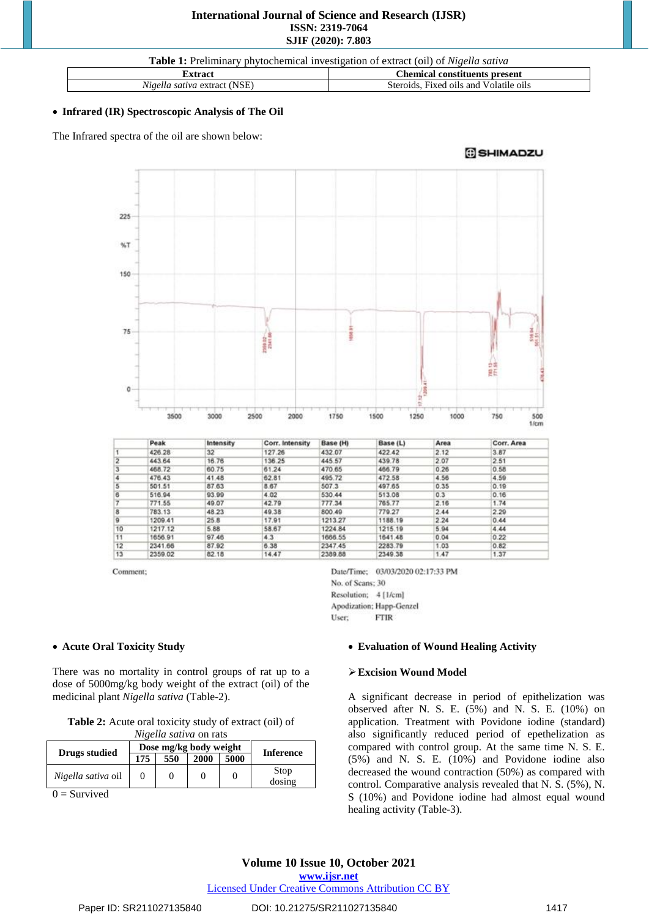# **International Journal of Science and Research (IJSR) ISSN: 2319-7064 SJIF (2020): 7.803**

**Table 1:** Preliminary phytochemical investigation of extract (oil) of *Nigella sativa*

| . xtrac                                                    | :hemical<br>present<br>constituents                                   |  |
|------------------------------------------------------------|-----------------------------------------------------------------------|--|
| $\mathbf{r}$<br>(NSE<br>≀ extrac'<br>satıva<br>$N10\rho V$ | $\sim$ $\sim$<br>Volatile oils<br>Steroids<br>and<br>H1Xed<br>. 01 IS |  |

## **Infrared (IR) Spectroscopic Analysis of The Oil**

The Infrared spectra of the oil are shown below:

SHIMADZU



|                | Peak    | Intensity | Corr. Intensity | Base (H) | Base (L) | Area | Corr. Area |
|----------------|---------|-----------|-----------------|----------|----------|------|------------|
|                | 426.28  | 32        | 127.26          | 432.07   | 422.42   | 2.12 | 3.87       |
| $\overline{2}$ | 443.64  | 16.76     | 136.25          | 445.57   | 439.78   | 2.07 | 2.51       |
| 3              | 468.72  | 60.75     | 61.24           | 470.65   | 466.79   | 0.26 | 0.58       |
| 4              | 476.43  | 41.48     | 62.81           | 495.72   | 472.58   | 4.56 | 4.59       |
| 5              | 501.51  | 87.63     | 8.67            | 507.3    | 497.65   | 0.35 | 0.19       |
| 6              | 516.94  | 93.99     | 4.02            | 530.44   | 513.08   | 0.3  | 0.16       |
|                | 771.55  | 49.07     | 42.79           | 777.34   | 765.77   | 2.16 | 1.74       |
| 8              | 783.13  | 48.23     | 49.38           | 800.49   | 779.27   | 2.44 | 2.29       |
| 9              | 1209.41 | 25.8      | 17.91           | 1213.27  | 1188.19  | 2.24 | 0.44       |
| 10             | 1217.12 | 5.88      | 58.67           | 1224.84  | 1215.19  | 5.94 | 4.44       |
| 11             | 1656.91 | 97.46     | 4.3             | 1666.55  | 1641.48  | 0.04 | 0.22       |
| 12             | 2341.66 | 87.92     | 6.38            | 2347.45  | 2283.79  | 1.03 | 0.82       |
| 13             | 2359.02 | 82.18     | 14.47           | 2389.88  | 2349.38  | 1.47 | 1.37       |

Comment;

Date/Time; 03/03/2020 02:17:33 PM No. of Scans; 30 Resolution; 4 [1/cm] Apodization; Happ-Genzel **FTIR** User:

# **Acute Oral Toxicity Study**

There was no mortality in control groups of rat up to a dose of 5000mg/kg body weight of the extract (oil) of the medicinal plant *Nigella sativa* (Table-2).

| Table 2: Acute oral toxicity study of extract (oil) of |  |
|--------------------------------------------------------|--|
| $N_i$ aalla satiya on rota                             |  |

| <i>ivigena sanva</i> on rais |     |                        |      |      |                  |  |
|------------------------------|-----|------------------------|------|------|------------------|--|
|                              |     | Dose mg/kg body weight |      |      |                  |  |
| Drugs studied                | 175 | 550                    | 2000 | 5000 | <b>Inference</b> |  |
| Nigella sativa oil           |     |                        |      |      | Stop<br>dosing   |  |

 $0 =$  Survived

#### **Evaluation of Wound Healing Activity**

# **Excision Wound Model**

A significant decrease in period of epithelization was observed after N. S. E. (5%) and N. S. E. (10%) on application. Treatment with Povidone iodine (standard) also significantly reduced period of epethelization as compared with control group. At the same time N. S. E.  $(5\%)$  and N. S. E.  $(10\%)$  and Povidone iodine also decreased the wound contraction (50%) as compared with control. Comparative analysis revealed that N. S. (5%), N. S (10%) and Povidone iodine had almost equal wound healing activity (Table-3).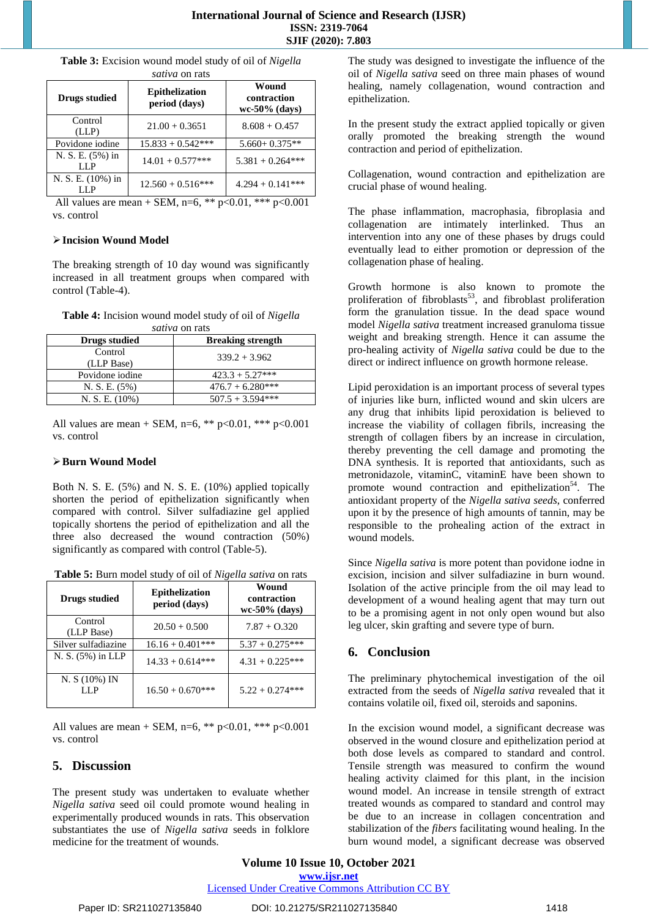**Table 3:** Excision wound model study of oil of *Nigella sativa* on rats

| <i>ouwvu</i> on rato    |                                        |                                          |  |  |  |
|-------------------------|----------------------------------------|------------------------------------------|--|--|--|
| <b>Drugs studied</b>    | <b>Epithelization</b><br>period (days) | Wound<br>contraction<br>$wc-50\%$ (days) |  |  |  |
| Control<br>(LLP)        | $21.00 + 0.3651$                       | $8.608 + 0.457$                          |  |  |  |
| Povidone iodine         | $15.833 + 0.542***$                    | $5.660 + 0.375**$                        |  |  |  |
| N. S. E. (5%) in<br>LLP | $14.01 + 0.577$ ***                    | $5.381 + 0.264***$                       |  |  |  |
| N. S. E. (10%) in       | $12.560 + 0.516***$                    | $4.294 + 0.141***$                       |  |  |  |

All values are mean + SEM, n=6, \*\*  $p < 0.01$ , \*\*\*  $p < 0.001$ vs. control

## **Incision Wound Model**

The breaking strength of 10 day wound was significantly increased in all treatment groups when compared with control (Table-4).

**Table 4:** Incision wound model study of oil of *Nigella sativa* on rats

| <b>Drugs studied</b>  | <b>Breaking strength</b> |
|-----------------------|--------------------------|
| Control<br>(LLP Base) | $339.2 + 3.962$          |
| Povidone iodine       | $423.3 + 5.27***$        |
| N. S. E. (5%)         | $476.7 + 6.280***$       |
| N. S. E. $(10\%)$     | $507.5 + 3.594***$       |

All values are mean + SEM, n=6, \*\* p<0.01, \*\*\* p<0.001 vs. control

# **Burn Wound Model**

Both N. S. E. (5%) and N. S. E. (10%) applied topically shorten the period of epithelization significantly when compared with control. Silver sulfadiazine gel applied topically shortens the period of epithelization and all the three also decreased the wound contraction (50%) significantly as compared with control (Table-5).

|  | Table 5: Burn model study of oil of Nigella sativa on rats |
|--|------------------------------------------------------------|
|--|------------------------------------------------------------|

| <b>Drugs studied</b>  | <b>Epithelization</b><br>period (days) | Wound<br>contraction<br>$wc-50\%$ (days) |
|-----------------------|----------------------------------------|------------------------------------------|
| Control<br>(LLP Base) | $20.50 + 0.500$                        | $7.87 + 0.320$                           |
| Silver sulfadiazine   | $16.16 + 0.401***$                     | $5.37 + 0.275***$                        |
| N. S. (5%) in LLP     | $14.33 + 0.614***$                     | $4.31 + 0.225***$                        |
| N. S(10%) IN<br>LL P  | $16.50 + 0.670$ ***                    | $5.22 + 0.274***$                        |

All values are mean + SEM, n=6, \*\* p<0.01, \*\*\* p<0.001 vs. control

# **5. Discussion**

The present study was undertaken to evaluate whether *Nigella sativa* seed oil could promote wound healing in experimentally produced wounds in rats. This observation substantiates the use of *Nigella sativa* seeds in folklore medicine for the treatment of wounds.

The study was designed to investigate the influence of the oil of *Nigella sativa* seed on three main phases of wound healing, namely collagenation, wound contraction and epithelization.

In the present study the extract applied topically or given orally promoted the breaking strength the wound contraction and period of epithelization.

Collagenation, wound contraction and epithelization are crucial phase of wound healing.

The phase inflammation, macrophasia, fibroplasia and collagenation are intimately interlinked. Thus an intervention into any one of these phases by drugs could eventually lead to either promotion or depression of the collagenation phase of healing.

Growth hormone is also known to promote the proliferation of fibroblasts<sup>53</sup>, and fibroblast proliferation form the granulation tissue. In the dead space wound model *Nigella sativa* treatment increased granuloma tissue weight and breaking strength. Hence it can assume the pro-healing activity of *Nigella sativa* could be due to the direct or indirect influence on growth hormone release.

Lipid peroxidation is an important process of several types of injuries like burn, inflicted wound and skin ulcers are any drug that inhibits lipid peroxidation is believed to increase the viability of collagen fibrils, increasing the strength of collagen fibers by an increase in circulation, thereby preventing the cell damage and promoting the DNA synthesis. It is reported that antioxidants, such as metronidazole, vitaminC, vitaminE have been shown to promote wound contraction and epithelization<sup>54</sup>. The antioxidant property of the *Nigella sativa seeds*, conferred upon it by the presence of high amounts of tannin, may be responsible to the prohealing action of the extract in wound models.

Since *Nigella sativa* is more potent than povidone iodne in excision, incision and silver sulfadiazine in burn wound. Isolation of the active principle from the oil may lead to development of a wound healing agent that may turn out to be a promising agent in not only open wound but also leg ulcer, skin grafting and severe type of burn.

# **6. Conclusion**

The preliminary phytochemical investigation of the oil extracted from the seeds of *Nigella sativa* revealed that it contains volatile oil, fixed oil, steroids and saponins.

In the excision wound model, a significant decrease was observed in the wound closure and epithelization period at both dose levels as compared to standard and control. Tensile strength was measured to confirm the wound healing activity claimed for this plant, in the incision wound model. An increase in tensile strength of extract treated wounds as compared to standard and control may be due to an increase in collagen concentration and stabilization of the *fibers* facilitating wound healing. In the burn wound model, a significant decrease was observed

**Volume 10 Issue 10, October 2021 www.ijsr.net**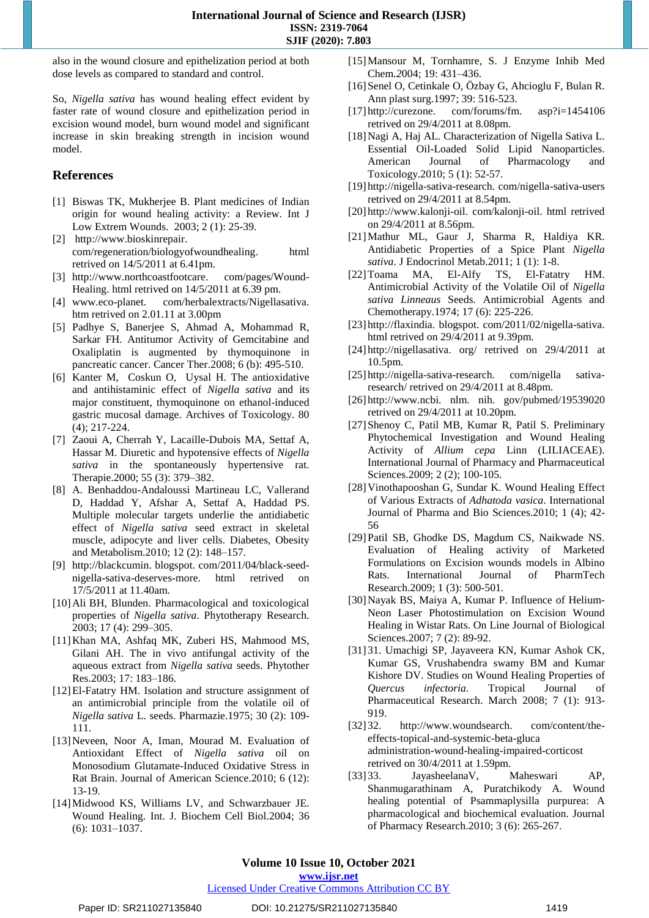also in the wound closure and epithelization period at both dose levels as compared to standard and control.

So, *Nigella sativa* has wound healing effect evident by faster rate of wound closure and epithelization period in excision wound model, burn wound model and significant increase in skin breaking strength in incision wound model.

# **References**

- [1] [Biswas](http://www.ncbi.nlm.nih.gov/pubmed?term=%22Biswas%20TK%22%5BAuthor%5D) TK, [Mukherjee](http://www.ncbi.nlm.nih.gov/pubmed?term=%22Mukherjee%20B%22%5BAuthor%5D) B. Plant medicines of Indian origin for wound healing activity: a Review. [Int](javascript:AL_get(this,%20) J Low Extrem [Wounds. 2](javascript:AL_get(this,%20)003; 2 (1): 25-39.
- [2] [http://www.bioskinrepair.](http://www.bioskinrepair.com/regeneration/biologyofwoundhealing.html%20retrived%20on%2014/5/2011)  [com/regeneration/biologyofwoundhealing. html](http://www.bioskinrepair.com/regeneration/biologyofwoundhealing.html%20retrived%20on%2014/5/2011) retrived on [14/5/2011](http://www.bioskinrepair.com/regeneration/biologyofwoundhealing.html%20retrived%20on%2014/5/2011) at 6.41pm.
- [3] http://www.northcoastfootcare. com/pages/Wound-Healing. html retrived on 14/5/2011 at 6.39 pm.
- [4] www.eco-planet. com/herbalextracts/Nigellasativa. [htm](http://www.eco-planet.com/herbalextracts/Nigellasativa.htm) retrived on 2.01.11 at 3.00pm
- [5] Padhye S, Banerjee S, Ahmad A, Mohammad R, Sarkar FH. Antitumor Activity of Gemcitabine and Oxaliplatin is augmented by thymoquinone in pancreatic cancer. Cancer Ther.2008; 6 (b): 495-510.
- [6] [Kanter](http://www.springerlink.com/content/?Author=Mehmet+Kanter) M, [Coskun](http://www.springerlink.com/content/?Author=Omer+Coskun) O, [Uysal](http://www.springerlink.com/content/?Author=Hamdi+Uysal) H. The antioxidative and antihistaminic effect of *Nigella sativa* and its major constituent, thymoquinone on ethanol-induced gastric mucosal damage. Archives of [Toxicology.](http://www.springerlink.com/content/0340-5761/) [80](http://www.springerlink.com/content/0340-5761/80/4/) [\(4\)](http://www.springerlink.com/content/0340-5761/80/4/); 217-224.
- [7] Zaoui A, Cherrah Y, Lacaille-Dubois MA, Settaf A, [Hassar](http://www.ncbi.nlm.nih.gov/pubmed?term=%22Hassar%20M%22%5BAuthor%5D) M. Diuretic and hypotensive effects of *Nigella sativa* in the spontaneously hypertensive rat. Therapie.2000; 55 (3): 379–382.
- [8] A. Benhaddou-Andaloussi Martineau LC, Vallerand D, Haddad Y, Afshar A, Settaf A, Haddad PS. Multiple molecular targets underlie the antidiabetic effect of *Nigella sativa* seed extract in skeletal muscle, adipocyte and liver cells. Diabetes, Obesity and Metabolism.2010; 12 [\(2\): 1](http://onlinelibrary.wiley.com/doi/10.1111/dom.2010.12.issue-2/issuetoc)48–157.
- [9] [http://blackcumin. blogspot. com/2011/04/black-seed](http://blackcumin.blogspot.com/2011/04/black-seed-nigella-sativa-deserves-more.html)[nigella-sativa-deserves-more. html](http://blackcumin.blogspot.com/2011/04/black-seed-nigella-sativa-deserves-more.html) retrived 17/5/2011 at 11.40am.
- [10] Ali BH, Blunden. Pharmacological and toxicological properties of *Nigella sativa*. Phytotherapy Research. [2003; 17](http://onlinelibrary.wiley.com/doi/10.1002/ptr.v17:4/issuetoc) (4): 299–305.
- [11]Khan MA, Ashfaq MK, Zuberi HS, Mahmood MS, Gilani AH. The in vivo antifungal activity of the aqueous extract from *Nigella sativa* seeds. Phytother Res.2003; 17: 183–186.
- [12]El-Fatatry HM. Isolation and structure assignment of an antimicrobial principle from the volatile oil of *Nigella sativa* L. seeds. Pharmazie.1975; 30 (2): 109- 111.
- [13]Neveen, Noor A, Iman, Mourad M. Evaluation of Antioxidant Effect of *Nigella sativa* oil on Monosodium Glutamate-Induced Oxidative Stress in Rat Brain. Journal of American Science.2010; 6 (12): 13-19.
- [14]Midwood KS, Williams LV, and Schwarzbauer JE. Wound Healing. Int. J. Biochem Cell Biol.2004; 36 (6): 1031–1037.
- [15]Mansour M, Tornhamre, S. J Enzyme Inhib Med Chem*.2*004; 19: 431–436.
- [16]Senel O, Cetinkale O, Özbay G, Ahcioglu F, Bulan R. Ann plast surg.1997; 39: 516-523.
- [17] [http://curezone. com/forums/fm. asp?i=1454106](http://curezone.com/forums/fm.asp?i=1454106) retrived on 29/4/2011 at 8.08pm.
- [18]Nagi A, Haj AL. Characterization of Nigella Sativa L. Essential Oil-Loaded Solid Lipid Nanoparticles. American Journal of Pharmacology and Toxicology.2010; 5 (1): 52-57.
- [19] [http://nigella-sativa-research. com/nigella-sativa-users](http://nigella-sativa-research.com/nigella-sativa-users%20retrived%20on%2029/4/2011) retrived on [29/4/2011](http://nigella-sativa-research.com/nigella-sativa-users%20retrived%20on%2029/4/2011) at 8.54pm.
- [20] [http://www.kalonji-oil. com/kalonji-oil. html](http://www.kalonji-oil.com/kalonji-oil.html%20retrived%20on%2029/4/2011) retrived on [29/4/2011](http://www.kalonji-oil.com/kalonji-oil.html%20retrived%20on%2029/4/2011) at 8.56pm.
- [21]Mathur ML, Gaur J, Sharma R, Haldiya KR. Antidiabetic Properties of a Spice Plant *Nigella sativa*. J Endocrinol Metab.2011; 1 (1): 1-8.
- [22]Toama MA, El-Alfy TS, El-Fatatry HM. Antimicrobial Activity of the Volatile Oil of *Nigella sativa Linneaus* Seeds. Antimicrobial Agents and Chemotherapy.1974; 17 (6): 225-226.
- [23] http://flaxindia. blogspot. com/2011/02/nigella-sativa. html retrived on 29/4/2011 at 9.39pm.
- [24] http://nigellasativa. org/ retrived on 29/4/2011 at 10.5pm.
- [25] http://nigella-sativa-research. com/nigella sativaresearch/ retrived on 29/4/2011 at 8.48pm.
- [26] http://www.ncbi. nlm. nih. gov/pubmed/19539020 retrived on 29/4/2011 at 10.20pm.
- [27]Shenoy C, Patil MB, Kumar R, Patil S. Preliminary Phytochemical Investigation and Wound Healing Activity of *Allium cepa* Linn (LILIACEAE). International Journal of Pharmacy and Pharmaceutical Sciences.2009; 2(2); 100-105.
- [28]Vinothapooshan G, Sundar K. Wound Healing Effect of Various Extracts of *Adhatoda vasica*. International Journal of Pharma and Bio Sciences.2010; 1 (4); 42- 56
- [29]Patil SB, Ghodke DS, Magdum CS, Naikwade NS. Evaluation of Healing activity of Marketed Formulations on Excision wounds models in Albino Rats. International Journal of PharmTech Research.2009; 1 (3): 500-501.
- [30]Nayak BS, Maiya A, Kumar P. Influence of Helium-Neon Laser Photostimulation on Excision Wound Healing in Wistar Rats. On Line Journal of Biological Sciences.2007; 7 (2): 89-92.
- [31] 31. Umachigi SP, Jayaveera KN, Kumar Ashok CK, Kumar GS, Vrushabendra swamy BM and Kumar Kishore DV. Studies on Wound Healing Properties of *Quercus infectoria.* Tropical Journal of Pharmaceutical Research. March 2008; 7 (1): 913- 919.
- [32] 32. http://www.woundsearch. com/content/theeffects-topical-and-systemic-beta-gluca administration-wound-healing-impaired-corticost retrived on 30/4/2011 at 1.59pm.
- [33] 33. JayasheelanaV, Maheswari AP, Shanmugarathinam A, Puratchikody A. Wound healing potential of Psammaplysilla purpurea: A pharmacological and biochemical evaluation. Journal of Pharmacy Research.2010; 3 (6): 265-267.

**www.ijsr.net**